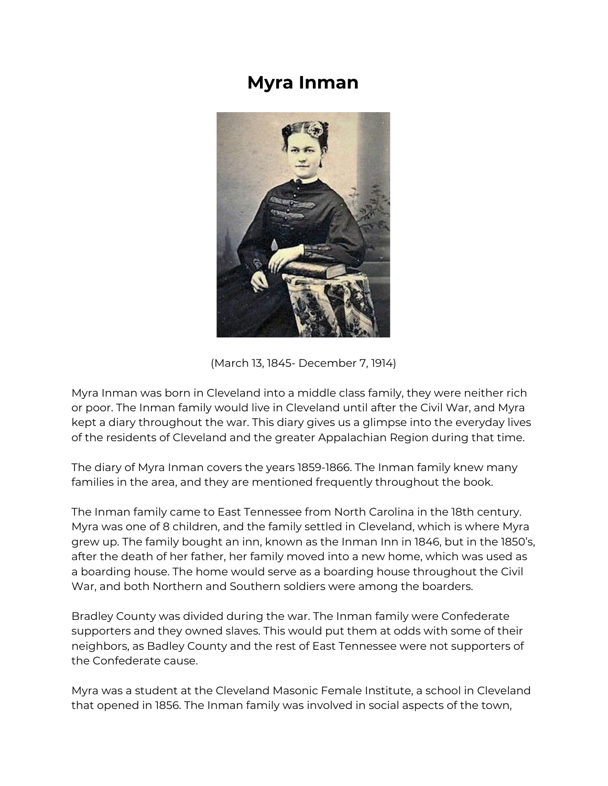## **Myra Inman**



(March 13, 1845- December 7, 1914)

Myra Inman was born in Cleveland into a middle class family, they were neither rich or poor. The Inman family would live in Cleveland until after the Civil War, and Myra kept a diary throughout the war. This diary gives us a glimpse into the everyday lives of the residents of Cleveland and the greater Appalachian Region during that time.

The diary of Myra Inman covers the years 1859-1866. The Inman family knew many families in the area, and they are mentioned frequently throughout the book.

The Inman family came to East Tennessee from North Carolina in the 18th century. Myra was one of 8 children, and the family settled in Cleveland, which is where Myra grew up. The family bought an inn, known as the Inman Inn in 1846, but in the 1850's, after the death of her father, her family moved into a new home, which was used as a boarding house. The home would serve as a boarding house throughout the Civil War, and both Northern and Southern soldiers were among the boarders.

Bradley County was divided during the war. The Inman family were Confederate supporters and they owned slaves. This would put them at odds with some of their neighbors, as Badley County and the rest of East Tennessee were not supporters of the Confederate cause.

Myra was a student at the Cleveland Masonic Female Institute, a school in Cleveland that opened in 1856. The Inman family was involved in social aspects of the town,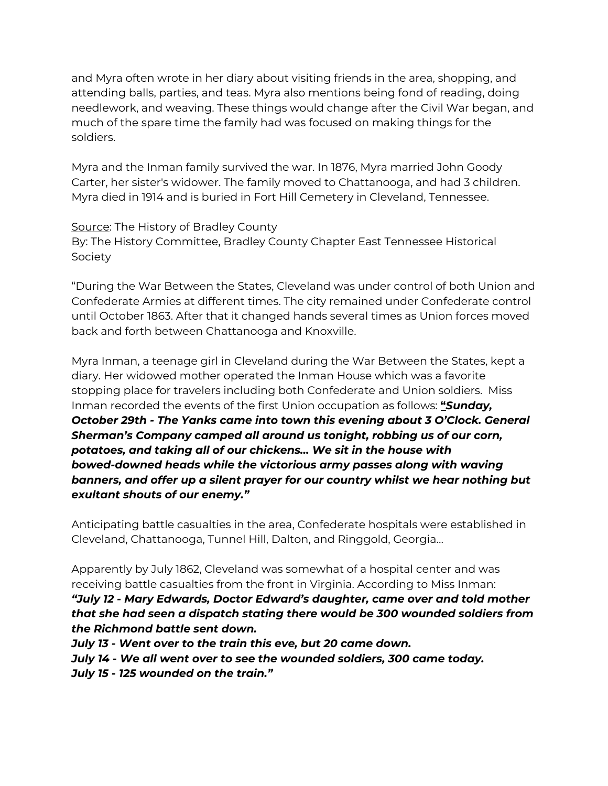and Myra often wrote in her diary about visiting friends in the area, shopping, and attending balls, parties, and teas. Myra also mentions being fond of reading, doing needlework, and weaving. These things would change after the Civil War began, and much of the spare time the family had was focused on making things for the soldiers.

Myra and the Inman family survived the war. In 1876, Myra married John Goody Carter, her sister's widower. The family moved to Chattanooga, and had 3 children. Myra died in 1914 and is buried in Fort Hill Cemetery in Cleveland, Tennessee.

Source: The History of Bradley County By: The History Committee, Bradley County Chapter East Tennessee Historical Society

"During the War Between the States, Cleveland was under control of both Union and Confederate Armies at different times. The city remained under Confederate control until October 1863. After that it changed hands several times as Union forces moved back and forth between Chattanooga and Knoxville.

Myra Inman, a teenage girl in Cleveland during the War Between the States, kept a diary. Her widowed mother operated the Inman House which was a favorite stopping place for travelers including both Confederate and Union soldiers. Miss Inman recorded the events of the first Union occupation as follows: **"***Sunday, October 29th - The Yanks came into town this evening about 3 O'Clock. General Sherman's Company camped all around us tonight, robbing us of our corn, potatoes, and taking all of our chickens… We sit in the house with bowed-downed heads while the victorious army passes along with waving banners, and offer up a silent prayer for our country whilst we hear nothing but exultant shouts of our enemy."*

Anticipating battle casualties in the area, Confederate hospitals were established in Cleveland, Chattanooga, Tunnel Hill, Dalton, and Ringgold, Georgia…

Apparently by July 1862, Cleveland was somewhat of a hospital center and was receiving battle casualties from the front in Virginia. According to Miss Inman:

*"July 12 - Mary Edwards, Doctor Edward's daughter, came over and told mother that she had seen a dispatch stating there would be 300 wounded soldiers from the Richmond battle sent down.*

*July 13 - Went over to the train this eve, but 20 came down.*

*July 14 - We all went over to see the wounded soldiers, 300 came today.*

*July 15 - 125 wounded on the train."*